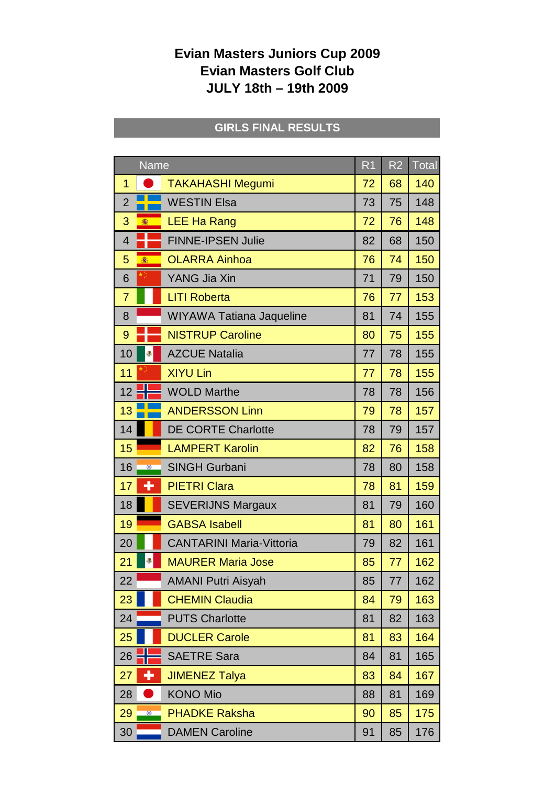## **Evian Masters Juniors Cup 2009 Evian Masters Golf Club JULY 18th – 19th 2009**

## **GIRLS FINAL RESULTS**

| <b>Name</b>          |                                 | R <sub>1</sub> | R <sub>2</sub> | Total |
|----------------------|---------------------------------|----------------|----------------|-------|
| $\overline{1}$       | <b>TAKAHASHI Megumi</b>         | 72             | 68             | 140   |
| $\overline{2}$       | <b>WESTIN Elsa</b>              | 73             | 75             | 148   |
| 3<br>癒               | <b>LEE Ha Rang</b>              | 72             | 76             | 148   |
| 4                    | <b>FINNE-IPSEN Julie</b>        | 82             | 68             | 150   |
| 5<br>肅               | <b>OLARRA Ainhoa</b>            | 76             | 74             | 150   |
| 6                    | YANG Jia Xin                    | 71             | 79             | 150   |
| $\overline{7}$       | <b>LITI Roberta</b>             | 76             | 77             | 153   |
| 8                    | WIYAWA Tatiana Jaqueline        | 81             | 74             | 155   |
| 9                    | <b>NISTRUP Caroline</b>         | 80             | 75             | 155   |
| 10<br>۵              | <b>AZCUE Natalia</b>            | 77             | 78             | 155   |
| 11                   | <b>XIYU Lin</b>                 | 77             | 78             | 155   |
| 12                   | <b>WOLD Marthe</b>              | 78             | 78             | 156   |
| 13                   | <b>ANDERSSON Linn</b>           | 79             | 78             | 157   |
| 14                   | <b>DE CORTE Charlotte</b>       | 78             | 79             | 157   |
| 15                   | <b>LAMPERT Karolin</b>          | 82             | 76             | 158   |
| 16<br>$\circledcirc$ | <b>SINGH Gurbani</b>            | 78             | 80             | 158   |
| ╇<br>17              | <b>PIETRI Clara</b>             | 78             | 81             | 159   |
| 18                   | <b>SEVERIJNS Margaux</b>        | 81             | 79             | 160   |
| 19                   | <b>GABSA Isabell</b>            | 81             | 80             | 161   |
| 20                   | <b>CANTARINI Maria-Vittoria</b> | 79             | 82             | 161   |
| 21                   | <b>MAURER Maria Jose</b>        | 85             | 77             | 162   |
| 22                   | <b>AMANI Putri Aisyah</b>       | 85             | 77             | 162   |
| 23                   | <b>CHEMIN Claudia</b>           | 84             | 79             | 163   |
| 24                   | <b>PUTS Charlotte</b>           | 81             | 82             | 163   |
| 25                   | <b>DUCLER Carole</b>            | 81             | 83             | 164   |
| 26                   | <b>SAETRE Sara</b>              | 84             | 81             | 165   |
| ٠<br>27              | <b>JIMENEZ Talya</b>            | 83             | 84             | 167   |
| 28                   | <b>KONO Mio</b>                 | 88             | 81             | 169   |
| 29<br>$\circledcirc$ | <b>PHADKE Raksha</b>            | 90             | 85             | 175   |
| 30                   | <b>DAMEN Caroline</b>           | 91             | 85             | 176   |